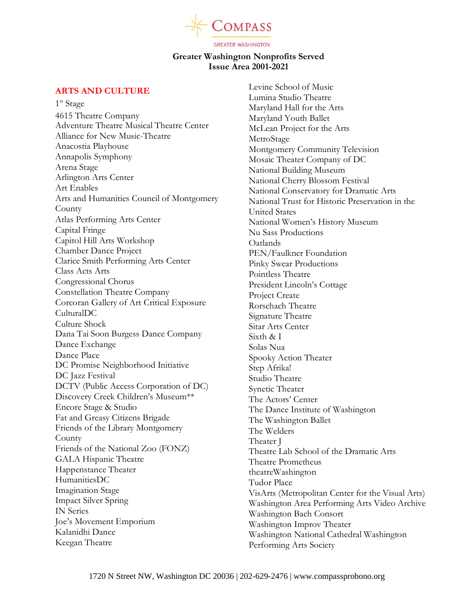

# **Greater Washington Nonprofits Served Issue Area 2001-2021**

# **ARTS AND CULTURE**

1<sup>st</sup> Stage 4615 Theatre Company Adventure Theatre Musical Theatre Center Alliance for New Music-Theatre Anacostia Playhouse Annapolis Symphony Arena Stage Arlington Arts Center Art Enables Arts and Humanities Council of Montgomery **County** Atlas Performing Arts Center Capital Fringe Capitol Hill Arts Workshop Chamber Dance Project Clarice Smith Performing Arts Center Class Acts Arts Congressional Chorus Constellation Theatre Company Corcoran Gallery of Art Critical Exposure CulturalDC Culture Shock Dana Tai Soon Burgess Dance Company Dance Exchange Dance Place DC Promise Neighborhood Initiative DC Jazz Festival DCTV (Public Access Corporation of DC) Discovery Creek Children's Museum\*\* Encore Stage & Studio Fat and Greasy Citizens Brigade Friends of the Library Montgomery County Friends of the National Zoo (FONZ) GALA Hispanic Theatre Happenstance Theater HumanitiesDC Imagination Stage Impact Silver Spring IN Series Joe's Movement Emporium Kalanidhi Dance Keegan Theatre

Levine School of Music Lumina Studio Theatre Maryland Hall for the Arts Maryland Youth Ballet McLean Project for the Arts **MetroStage** Montgomery Community Television Mosaic Theater Company of DC National Building Museum National Cherry Blossom Festival National Conservatory for Dramatic Arts National Trust for Historic Preservation in the United States National Women's History Museum Nu Sass Productions Oatlands PEN/Faulkner Foundation Pinky Swear Productions Pointless Theatre President Lincoln's Cottage Project Create Rorschach Theatre Signature Theatre Sitar Arts Center Sixth & I Solas Nua Spooky Action Theater Step Afrika! Studio Theatre Synetic Theater The Actors' Center The Dance Institute of Washington The Washington Ballet The Welders Theater J Theatre Lab School of the Dramatic Arts Theatre Prometheus theatreWashington Tudor Place VisArts (Metropolitan Center for the Visual Arts) Washington Area Performing Arts Video Archive Washington Bach Consort Washington Improv Theater Washington National Cathedral Washington Performing Arts Society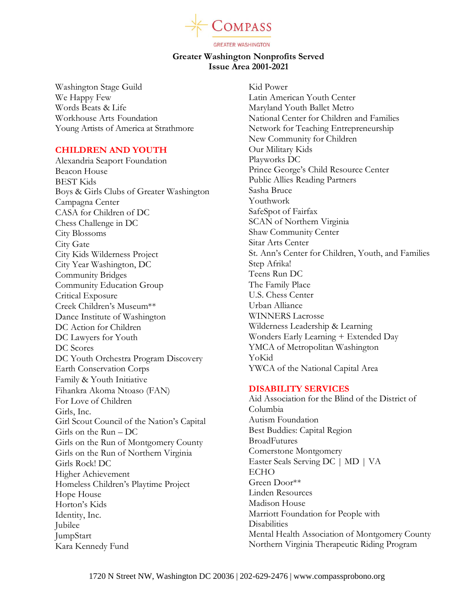

# **Greater Washington Nonprofits Served Issue Area 2001-2021**

Washington Stage Guild We Happy Few Words Beats & Life Workhouse Arts Foundation Young Artists of America at Strathmore

## **CHILDREN AND YOUTH**

Alexandria Seaport Foundation Beacon House BEST Kids Boys & Girls Clubs of Greater Washington Campagna Center CASA for Children of DC Chess Challenge in DC City Blossoms City Gate City Kids Wilderness Project City Year Washington, DC Community Bridges Community Education Group Critical Exposure Creek Children's Museum\*\* Dance Institute of Washington DC Action for Children DC Lawyers for Youth DC Scores DC Youth Orchestra Program Discovery Earth Conservation Corps Family & Youth Initiative Fihankra Akoma Ntoaso (FAN) For Love of Children Girls, Inc. Girl Scout Council of the Nation's Capital Girls on the Run – DC Girls on the Run of Montgomery County Girls on the Run of Northern Virginia Girls Rock! DC Higher Achievement Homeless Children's Playtime Project Hope House Horton's Kids Identity, Inc. Jubilee JumpStart Kara Kennedy Fund

Kid Power Latin American Youth Center Maryland Youth Ballet Metro National Center for Children and Families Network for Teaching Entrepreneurship New Community for Children Our Military Kids Playworks DC Prince George's Child Resource Center Public Allies Reading Partners Sasha Bruce Youthwork SafeSpot of Fairfax SCAN of Northern Virginia Shaw Community Center Sitar Arts Center St. Ann's Center for Children, Youth, and Families Step Afrika! Teens Run DC The Family Place U.S. Chess Center Urban Alliance WINNERS Lacrosse Wilderness Leadership & Learning Wonders Early Learning + Extended Day YMCA of Metropolitan Washington YoKid YWCA of the National Capital Area

## **DISABILITY SERVICES**

Aid Association for the Blind of the District of Columbia Autism Foundation Best Buddies: Capital Region BroadFutures Cornerstone Montgomery Easter Seals Serving DC | MD | VA ECHO Green Door\*\* Linden Resources Madison House Marriott Foundation for People with **Disabilities** Mental Health Association of Montgomery County Northern Virginia Therapeutic Riding Program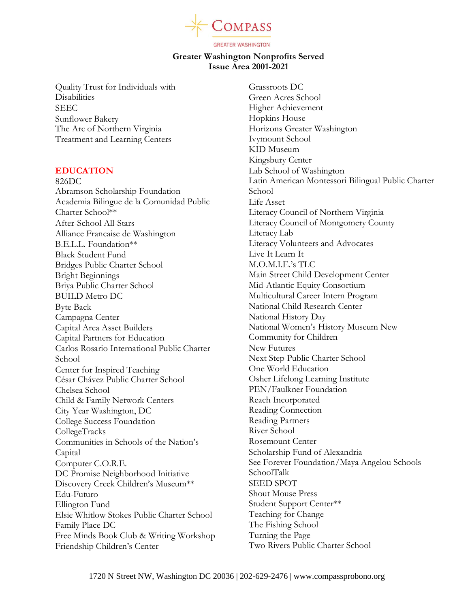

# **Greater Washington Nonprofits Served Issue Area 2001-2021**

Quality Trust for Individuals with **Disabilities** SEEC Sunflower Bakery The Arc of Northern Virginia Treatment and Learning Centers

#### **EDUCATION**

826DC Abramson Scholarship Foundation Academia Bilingue de la Comunidad Public Charter School\*\* After-School All-Stars Alliance Francaise de Washington B.E.L.L. Foundation\*\* Black Student Fund Bridges Public Charter School Bright Beginnings Briya Public Charter School BUILD Metro DC Byte Back Campagna Center Capital Area Asset Builders Capital Partners for Education Carlos Rosario International Public Charter School Center for Inspired Teaching César Chávez Public Charter School Chelsea School Child & Family Network Centers City Year Washington, DC College Success Foundation CollegeTracks Communities in Schools of the Nation's Capital Computer C.O.R.E. DC Promise Neighborhood Initiative Discovery Creek Children's Museum\*\* Edu-Futuro Ellington Fund Elsie Whitlow Stokes Public Charter School Family Place DC Free Minds Book Club & Writing Workshop Friendship Children's Center

Grassroots DC Green Acres School Higher Achievement Hopkins House Horizons Greater Washington Ivymount School KID Museum Kingsbury Center Lab School of Washington Latin American Montessori Bilingual Public Charter School Life Asset Literacy Council of Northern Virginia Literacy Council of Montgomery County Literacy Lab Literacy Volunteers and Advocates Live It Learn It M.O.M.I.E.'s TLC Main Street Child Development Center Mid-Atlantic Equity Consortium Multicultural Career Intern Program National Child Research Center National History Day National Women's History Museum New Community for Children New Futures Next Step Public Charter School One World Education Osher Lifelong Learning Institute PEN/Faulkner Foundation Reach Incorporated Reading Connection Reading Partners River School Rosemount Center Scholarship Fund of Alexandria See Forever Foundation/Maya Angelou Schools SchoolTalk SEED SPOT Shout Mouse Press Student Support Center\*\* Teaching for Change The Fishing School Turning the Page Two Rivers Public Charter School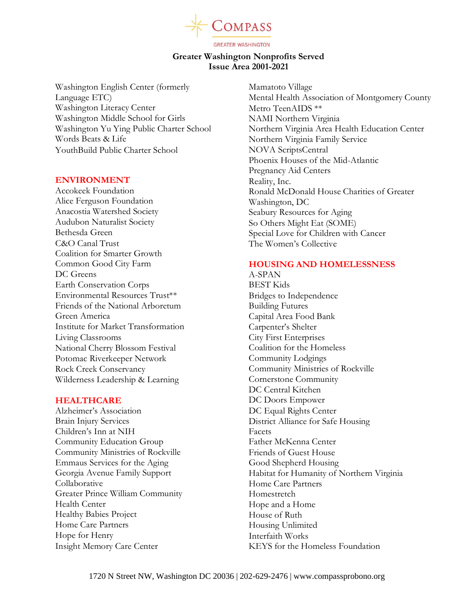

# **Greater Washington Nonprofits Served Issue Area 2001-2021**

Washington English Center (formerly Language ETC) Washington Literacy Center Washington Middle School for Girls Washington Yu Ying Public Charter School Words Beats & Life YouthBuild Public Charter School

#### **ENVIRONMENT**

Accokeek Foundation Alice Ferguson Foundation Anacostia Watershed Society Audubon Naturalist Society Bethesda Green C&O Canal Trust Coalition for Smarter Growth Common Good City Farm DC Greens Earth Conservation Corps Environmental Resources Trust\*\* Friends of the National Arboretum Green America Institute for Market Transformation Living Classrooms National Cherry Blossom Festival Potomac Riverkeeper Network Rock Creek Conservancy Wilderness Leadership & Learning

## **HEALTHCARE**

Alzheimer's Association Brain Injury Services Children's Inn at NIH Community Education Group Community Ministries of Rockville Emmaus Services for the Aging Georgia Avenue Family Support Collaborative Greater Prince William Community Health Center Healthy Babies Project Home Care Partners Hope for Henry Insight Memory Care Center

Mamatoto Village Mental Health Association of Montgomery County Metro TeenAIDS \*\* NAMI Northern Virginia Northern Virginia Area Health Education Center Northern Virginia Family Service NOVA ScriptsCentral Phoenix Houses of the Mid-Atlantic Pregnancy Aid Centers Reality, Inc. Ronald McDonald House Charities of Greater Washington, DC Seabury Resources for Aging So Others Might Eat (SOME) Special Love for Children with Cancer The Women's Collective

## **HOUSING AND HOMELESSNESS**

A-SPAN BEST Kids Bridges to Independence Building Futures Capital Area Food Bank Carpenter's Shelter City First Enterprises Coalition for the Homeless Community Lodgings Community Ministries of Rockville Cornerstone Community DC Central Kitchen DC Doors Empower DC Equal Rights Center District Alliance for Safe Housing Facets Father McKenna Center Friends of Guest House Good Shepherd Housing Habitat for Humanity of Northern Virginia Home Care Partners Homestretch Hope and a Home House of Ruth Housing Unlimited Interfaith Works KEYS for the Homeless Foundation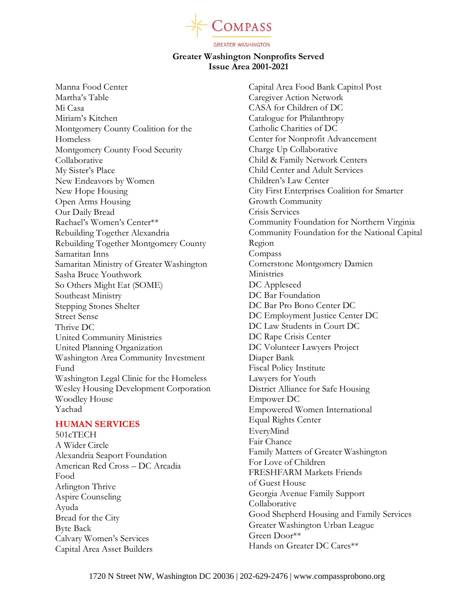

# **Greater Washington Nonprofits Served Issue Area 2001-2021**

Manna Food Center Martha's Table Mi Casa Miriam's Kitchen Montgomery County Coalition for the Homeless Montgomery County Food Security Collaborative My Sister's Place New Endeavors by Women New Hope Housing Open Arms Housing Our Daily Bread Rachael's Women's Center\*\* Rebuilding Together Alexandria Rebuilding Together Montgomery County Samaritan Inns Samaritan Ministry of Greater Washington Sasha Bruce Youthwork So Others Might Eat (SOME) Southeast Ministry Stepping Stones Shelter Street Sense Thrive DC United Community Ministries United Planning Organization Washington Area Community Investment Fund Washington Legal Clinic for the Homeless Wesley Housing Development Corporation Woodley House Yachad

## **HUMAN SERVICES**

501cTECH A Wider Circle Alexandria Seaport Foundation American Red Cross – DC Arcadia Food Arlington Thrive Aspire Counseling Ayuda Bread for the City Byte Back Calvary Women's Services Capital Area Asset Builders

Capital Area Food Bank Capitol Post Caregiver Action Network CASA for Children of DC Catalogue for Philanthropy Catholic Charities of DC Center for Nonprofit Advancement Charge Up Collaborative Child & Family Network Centers Child Center and Adult Services Children's Law Center City First Enterprises Coalition for Smarter Growth Community Crisis Services Community Foundation for Northern Virginia Community Foundation for the National Capital Region Compass Cornerstone Montgomery Damien Ministries DC Appleseed DC Bar Foundation DC Bar Pro Bono Center DC DC Employment Justice Center DC DC Law Students in Court DC DC Rape Crisis Center DC Volunteer Lawyers Project Diaper Bank Fiscal Policy Institute Lawyers for Youth District Alliance for Safe Housing Empower DC Empowered Women International Equal Rights Center EveryMind Fair Chance Family Matters of Greater Washington For Love of Children FRESHFARM Markets Friends of Guest House Georgia Avenue Family Support Collaborative Good Shepherd Housing and Family Services Greater Washington Urban League Green Door\*\* Hands on Greater DC Cares\*\*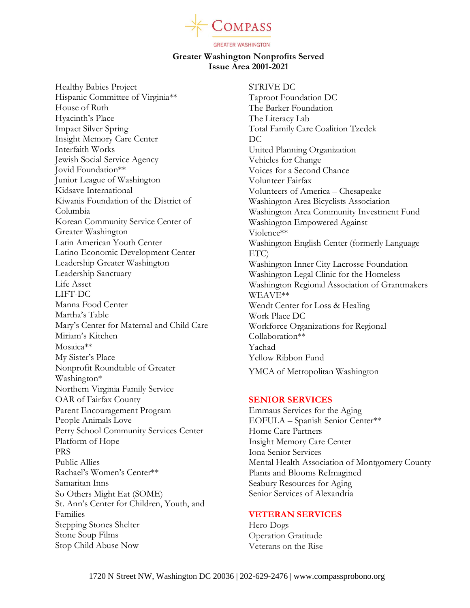

# **Greater Washington Nonprofits Served Issue Area 2001-2021**

Healthy Babies Project Hispanic Committee of Virginia\*\* House of Ruth Hyacinth's Place Impact Silver Spring Insight Memory Care Center Interfaith Works Jewish Social Service Agency Jovid Foundation\*\* Junior League of Washington Kidsave International Kiwanis Foundation of the District of Columbia Korean Community Service Center of Greater Washington Latin American Youth Center Latino Economic Development Center Leadership Greater Washington Leadership Sanctuary Life Asset LIFT-DC Manna Food Center Martha's Table Mary's Center for Maternal and Child Care Miriam's Kitchen Mosaica\*\* My Sister's Place Nonprofit Roundtable of Greater Washington\* Northern Virginia Family Service OAR of Fairfax County Parent Encouragement Program People Animals Love Perry School Community Services Center Platform of Hope PRS Public Allies Rachael's Women's Center\*\* Samaritan Inns So Others Might Eat (SOME) St. Ann's Center for Children, Youth, and Families Stepping Stones Shelter Stone Soup Films Stop Child Abuse Now

STRIVE DC Taproot Foundation DC The Barker Foundation The Literacy Lab Total Family Care Coalition Tzedek DC United Planning Organization Vehicles for Change Voices for a Second Chance Volunteer Fairfax Volunteers of America – Chesapeake Washington Area Bicyclists Association Washington Area Community Investment Fund Washington Empowered Against Violence\*\* Washington English Center (formerly Language ETC) Washington Inner City Lacrosse Foundation Washington Legal Clinic for the Homeless Washington Regional Association of Grantmakers WEAVE\*\* Wendt Center for Loss & Healing Work Place DC Workforce Organizations for Regional Collaboration\*\* Yachad Yellow Ribbon Fund YMCA of Metropolitan Washington

#### **SENIOR SERVICES**

Emmaus Services for the Aging EOFULA – Spanish Senior Center\*\* Home Care Partners Insight Memory Care Center Iona Senior Services Mental Health Association of Montgomery County Plants and Blooms ReImagined Seabury Resources for Aging Senior Services of Alexandria

#### **VETERAN SERVICES**

Hero Dogs Operation Gratitude Veterans on the Rise